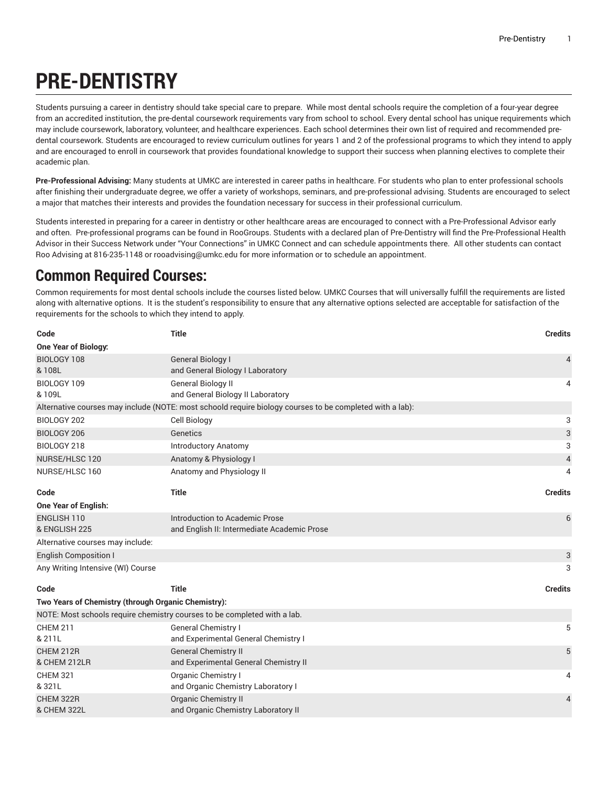## **PRE-DENTISTRY**

Students pursuing a career in dentistry should take special care to prepare. While most dental schools require the completion of a four-year degree from an accredited institution, the pre-dental coursework requirements vary from school to school. Every dental school has unique requirements which may include coursework, laboratory, volunteer, and healthcare experiences. Each school determines their own list of required and recommended predental coursework. Students are encouraged to review curriculum outlines for years 1 and 2 of the professional programs to which they intend to apply and are encouraged to enroll in coursework that provides foundational knowledge to support their success when planning electives to complete their academic plan.

**Pre-Professional Advising:** Many students at UMKC are interested in career paths in healthcare. For students who plan to enter professional schools after finishing their undergraduate degree, we offer a variety of workshops, seminars, and pre-professional advising. Students are encouraged to select a major that matches their interests and provides the foundation necessary for success in their professional curriculum.

Students interested in preparing for a career in dentistry or other healthcare areas are encouraged to connect with a Pre-Professional Advisor early and often. Pre-professional programs can be found in RooGroups. Students with a declared plan of Pre-Dentistry will find the Pre-Professional Health Advisor in their Success Network under "Your Connections" in UMKC Connect and can schedule appointments there. All other students can contact Roo Advising at 816-235-1148 or [rooadvising@umkc.edu](mailto:rooadvising@umkc.edu) for more information or to schedule an appointment.

## **Common Required Courses:**

Common requirements for most dental schools include the courses listed below. UMKC Courses that will universally fulfill the requirements are listed along with alternative options. It is the student's responsibility to ensure that any alternative options selected are acceptable for satisfaction of the requirements for the schools to which they intend to apply.

| Code                                                                                                     | <b>Title</b>                                                             | <b>Credits</b>            |  |  |
|----------------------------------------------------------------------------------------------------------|--------------------------------------------------------------------------|---------------------------|--|--|
| One Year of Biology:                                                                                     |                                                                          |                           |  |  |
| BIOLOGY 108                                                                                              | General Biology I                                                        | 4                         |  |  |
| &108L                                                                                                    | and General Biology I Laboratory                                         |                           |  |  |
| BIOLOGY 109                                                                                              | <b>General Biology II</b>                                                | 4                         |  |  |
| & 109L                                                                                                   | and General Biology II Laboratory                                        |                           |  |  |
| Alternative courses may include (NOTE: most schoold require biology courses to be completed with a lab): |                                                                          |                           |  |  |
| BIOLOGY 202                                                                                              | <b>Cell Biology</b>                                                      | 3                         |  |  |
| BIOLOGY 206                                                                                              | Genetics                                                                 | $\ensuremath{\mathsf{3}}$ |  |  |
| BIOLOGY 218                                                                                              | <b>Introductory Anatomy</b>                                              | 3                         |  |  |
| NURSE/HLSC 120                                                                                           | Anatomy & Physiology I                                                   | $\overline{4}$            |  |  |
| NURSE/HLSC 160                                                                                           | Anatomy and Physiology II                                                | 4                         |  |  |
| Code                                                                                                     | <b>Title</b>                                                             | <b>Credits</b>            |  |  |
| <b>One Year of English:</b>                                                                              |                                                                          |                           |  |  |
| <b>ENGLISH 110</b>                                                                                       | Introduction to Academic Prose                                           | 6                         |  |  |
| & ENGLISH 225                                                                                            | and English II: Intermediate Academic Prose                              |                           |  |  |
| Alternative courses may include:                                                                         |                                                                          |                           |  |  |
| <b>English Composition I</b>                                                                             |                                                                          | $\ensuremath{\mathsf{3}}$ |  |  |
| Any Writing Intensive (WI) Course                                                                        |                                                                          | 3                         |  |  |
| Code                                                                                                     | <b>Title</b>                                                             | <b>Credits</b>            |  |  |
| Two Years of Chemistry (through Organic Chemistry):                                                      |                                                                          |                           |  |  |
|                                                                                                          | NOTE: Most schools require chemistry courses to be completed with a lab. |                           |  |  |
| <b>CHEM 211</b>                                                                                          | <b>General Chemistry I</b>                                               | 5                         |  |  |
| & 211L                                                                                                   | and Experimental General Chemistry I                                     |                           |  |  |
| CHEM 212R                                                                                                | <b>General Chemistry II</b>                                              | 5                         |  |  |
| & CHEM 212LR                                                                                             | and Experimental General Chemistry II                                    |                           |  |  |
| <b>CHEM 321</b>                                                                                          | Organic Chemistry I                                                      | 4                         |  |  |
| & 321L                                                                                                   | and Organic Chemistry Laboratory I                                       |                           |  |  |
| CHEM 322R                                                                                                | <b>Organic Chemistry II</b>                                              | $\overline{4}$            |  |  |
| & CHEM 322L                                                                                              | and Organic Chemistry Laboratory II                                      |                           |  |  |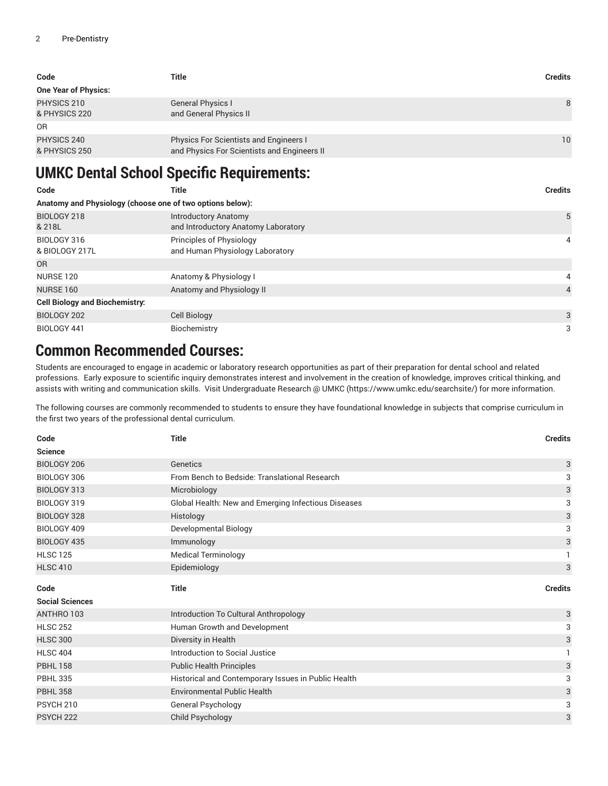| Code                         | Title                                                                                        | <b>Credits</b> |
|------------------------------|----------------------------------------------------------------------------------------------|----------------|
| <b>One Year of Physics:</b>  |                                                                                              |                |
| PHYSICS 210<br>& PHYSICS 220 | <b>General Physics I</b><br>and General Physics II                                           | 8              |
| 0 <sub>R</sub>               |                                                                                              |                |
| PHYSICS 240<br>& PHYSICS 250 | <b>Physics For Scientists and Engineers I</b><br>and Physics For Scientists and Engineers II | 10             |

## **UMKC Dental School Specific Requirements:**

| Code                                                      | <b>Title</b>                                                       | <b>Credits</b> |
|-----------------------------------------------------------|--------------------------------------------------------------------|----------------|
| Anatomy and Physiology (choose one of two options below): |                                                                    |                |
| BIOLOGY 218<br>& 218L                                     | <b>Introductory Anatomy</b><br>and Introductory Anatomy Laboratory | 5              |
| BIOLOGY 316<br>& BIOLOGY 217L                             | Principles of Physiology<br>and Human Physiology Laboratory        | 4              |
| <b>OR</b>                                                 |                                                                    |                |
| NURSE 120                                                 | Anatomy & Physiology I                                             | 4              |
| <b>NURSE 160</b>                                          | Anatomy and Physiology II                                          | $\overline{4}$ |
| <b>Cell Biology and Biochemistry:</b>                     |                                                                    |                |
| BIOLOGY 202                                               | Cell Biology                                                       | 3              |
| BIOLOGY 441                                               | Biochemistry                                                       | 3              |

## **Common Recommended Courses:**

Students are encouraged to engage in academic or laboratory research opportunities as part of their preparation for dental school and related professions. Early exposure to scientific inquiry demonstrates interest and involvement in the creation of knowledge, improves critical thinking, and assists with writing and communication skills. Visit [Undergraduate](https://www.umkc.edu/searchsite/) Research @ UMKC (<https://www.umkc.edu/searchsite/>) for more information.

The following courses are commonly recommended to students to ensure they have foundational knowledge in subjects that comprise curriculum in the first two years of the professional dental curriculum.

| Code                           | <b>Title</b>                                                          | <b>Credits</b>            |
|--------------------------------|-----------------------------------------------------------------------|---------------------------|
| <b>Science</b>                 |                                                                       |                           |
| BIOLOGY 206                    | Genetics                                                              | 3                         |
| BIOLOGY 306                    | From Bench to Bedside: Translational Research                         | 3                         |
| BIOLOGY 313                    | Microbiology                                                          | $\ensuremath{\mathsf{3}}$ |
| BIOLOGY 319                    | Global Health: New and Emerging Infectious Diseases                   | 3                         |
| BIOLOGY 328                    | Histology                                                             | 3                         |
| BIOLOGY 409                    | <b>Developmental Biology</b>                                          | 3                         |
| <b>BIOLOGY 435</b>             | Immunology                                                            | $\ensuremath{\mathsf{3}}$ |
| <b>HLSC 125</b>                | <b>Medical Terminology</b>                                            |                           |
| <b>HLSC 410</b>                | Epidemiology                                                          | 3                         |
|                                |                                                                       |                           |
|                                |                                                                       |                           |
| Code<br><b>Social Sciences</b> | <b>Title</b>                                                          | <b>Credits</b>            |
| ANTHRO 103                     |                                                                       | 3                         |
| <b>HLSC 252</b>                | Introduction To Cultural Anthropology<br>Human Growth and Development | 3                         |
| <b>HLSC 300</b>                | Diversity in Health                                                   | $\ensuremath{\mathsf{3}}$ |
| <b>HLSC 404</b>                | Introduction to Social Justice                                        |                           |
| <b>PBHL 158</b>                | <b>Public Health Principles</b>                                       | 3                         |
| <b>PBHL 335</b>                | Historical and Contemporary Issues in Public Health                   | 3                         |
| <b>PBHL 358</b>                | <b>Environmental Public Health</b>                                    | 3                         |
| PSYCH <sub>210</sub>           | General Psychology                                                    | 3                         |